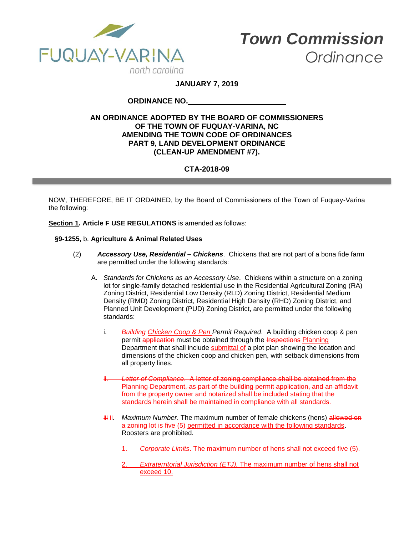

**JANUARY 7, 2019**

# **ORDINANCE NO.**

## **AN ORDINANCE ADOPTED BY THE BOARD OF COMMISSIONERS OF THE TOWN OF FUQUAY-VARINA, NC AMENDING THE TOWN CODE OF ORDINANCES PART 9, LAND DEVELOPMENT ORDINANCE (CLEAN-UP AMENDMENT #7).**

# **CTA-2018-09**

NOW, THEREFORE, BE IT ORDAINED, by the Board of Commissioners of the Town of Fuquay-Varina the following:

**Section 1. Article F USE REGULATIONS** is amended as follows:

### **§9-1255,** b. **Agriculture & Animal Related Uses**

- (2) *Accessory Use, Residential – Chickens*. Chickens that are not part of a bona fide farm are permitted under the following standards:
	- A. *Standards for Chickens as an Accessory Use*. Chickens within a structure on a zoning lot for single-family detached residential use in the Residential Agricultural Zoning (RA) Zoning District, Residential Low Density (RLD) Zoning District, Residential Medium Density (RMD) Zoning District, Residential High Density (RHD) Zoning District, and Planned Unit Development (PUD) Zoning District, are permitted under the following standards:
		- i. *Building Chicken Coop & Pen Permit Required*. A building chicken coop & pen permit application must be obtained through the Inspections Planning Department that shall include submittal of a plot plan showing the location and dimensions of the chicken coop and chicken pen, with setback dimensions from all property lines.
		- Letter of Compliance. A letter of zoning compliance shall be obtained from the Planning Department, as part of the building permit application, and an affidavit from the property owner and notarized shall be included stating that the standards herein shall be maintained in compliance with all standards.
		- iii ii. *Maximum Number*. The maximum number of female chickens (hens) allowed on a zoning lot is five (5) permitted in accordance with the following standards. Roosters are prohibited.
			- 1. *Corporate Limits*. The maximum number of hens shall not exceed five (5).
			- 2. *Extraterritorial Jurisdiction (ETJ).* The maximum number of hens shall not exceed 10.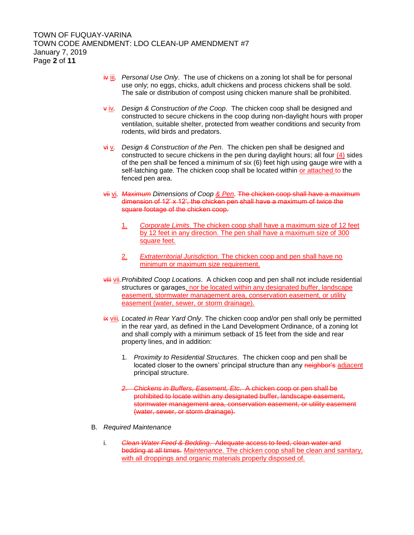- iv iii. *Personal Use Only*. The use of chickens on a zoning lot shall be for personal use only; no eggs, chicks, adult chickens and process chickens shall be sold. The sale or distribution of compost using chicken manure shall be prohibited.
- v iv*. Design & Construction of the Coop*. The chicken coop shall be designed and constructed to secure chickens in the coop during non-daylight hours with proper ventilation, suitable shelter, protected from weather conditions and security from rodents, wild birds and predators.
- vi v*. Design & Construction of the Pen*. The chicken pen shall be designed and constructed to secure chickens in the pen during daylight hours; all four (4) sides of the pen shall be fenced a minimum of six (6) feet high using gauge wire with a self-latching gate. The chicken coop shall be located within or attached to the fenced pen area.
- vii vi*. Maximum Dimensions of Coop & Pen*. The chicken coop shall have a maximum dimension of 12' x 12', the chicken pen shall have a maximum of twice the square footage of the chicken coop.
	- 1. *Corporate Limits.* The chicken coop shall have a maximum size of 12 feet by 12 feet in any direction. The pen shall have a maximum size of 300 square feet.
	- 2. *Extraterritorial Jurisdiction.* The chicken coop and pen shall have no minimum or maximum size requirement.
- viii vii*.Prohibited Coop Locations*. A chicken coop and pen shall not include residential structures or garages, nor be located within any designated buffer, landscape easement, stormwater management area, conservation easement, or utility easement (water, sewer, or storm drainage).
- ix viii*. Located in Rear Yard Only*. The chicken coop and/or pen shall only be permitted in the rear yard, as defined in the Land Development Ordinance, of a zoning lot and shall comply with a minimum setback of 15 feet from the side and rear property lines, and in addition:
	- 1*. Proximity to Residential Structures*. The chicken coop and pen shall be located closer to the owners' principal structure than any neighbor's adjacent principal structure.
	- *2. Chickens in Buffers, Easement, Etc*. A chicken coop or pen shall be prohibited to locate within any designated buffer, landscape easement, stormwater management area, conservation easement, or utility easement (water, sewer, or storm drainage).
- B. *Required Maintenance*
	- i. *Clean Water Feed & Bedding*. Adequate access to feed, clean water and bedding at all times. *Maintenance.* The chicken coop shall be clean and sanitary, with all droppings and organic materials properly disposed of.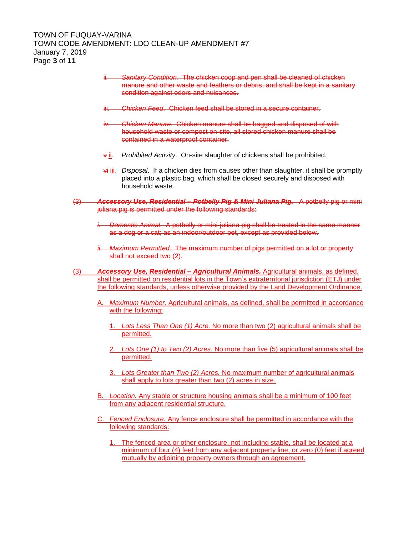# TOWN OF FUQUAY-VARINA TOWN CODE AMENDMENT: LDO CLEAN-UP AMENDMENT #7 January 7, 2019 Page **3** of **11**

- ii*. Sanitary Condition*. The chicken coop and pen shall be cleaned of chicken manure and other waste and feathers or debris, and shall be kept in a sanitary condition against odors and nuisances.
- **Chicken Feed.** Chicken feed shall be stored in a secure container.
- iv*. Chicken Manure*. Chicken manure shall be bagged and disposed of with household waste or compost on-site, all stored chicken manure shall be contained in a waterproof container.
- v ii*. Prohibited Activity*. On-site slaughter of chickens shall be prohibited.
- vi iii*. Disposal*. If a chicken dies from causes other than slaughter, it shall be promptly placed into a plastic bag, which shall be closed securely and disposed with household waste.
- (3) *Accessory Use, Residential – Potbelly Pig & Mini Juliana Pig.* A potbelly pig or mini juliana pig is permitted under the following standards:
	- *i. Domestic Animal*. A potbelly or mini-juliana pig shall be treated in the same manner as a dog or a cat; as an indoor/outdoor pet, except as provided below.
	- *ii. Maximum Permitted*. The maximum number of pigs permitted on a lot or property shall not exceed two  $(2)$ .
- (3) *Accessory Use, Residential – Agricultural Animals.* Agricultural animals, as defined, shall be permitted on residential lots in the Town's extraterritorial jurisdiction (ETJ) under the following standards, unless otherwise provided by the Land Development Ordinance.
	- A. *Maximum Number.* Agricultural animals, as defined, shall be permitted in accordance with the following:
		- 1. *Lots Less Than One (1) Acre.* No more than two (2) agricultural animals shall be permitted.
		- 2. *Lots One (1) to Two (2) Acres.* No more than five (5) agricultural animals shall be permitted.
		- 3. *Lots Greater than Two (2) Acres.* No maximum number of agricultural animals shall apply to lots greater than two (2) acres in size.
	- B. *Location.* Any stable or structure housing animals shall be a minimum of 100 feet from any adjacent residential structure.
	- C. *Fenced Enclosure.* Any fence enclosure shall be permitted in accordance with the following standards:
		- 1. The fenced area or other enclosure, not including stable, shall be located at a minimum of four (4) feet from any adjacent property line, or zero (0) feet if agreed mutually by adjoining property owners through an agreement.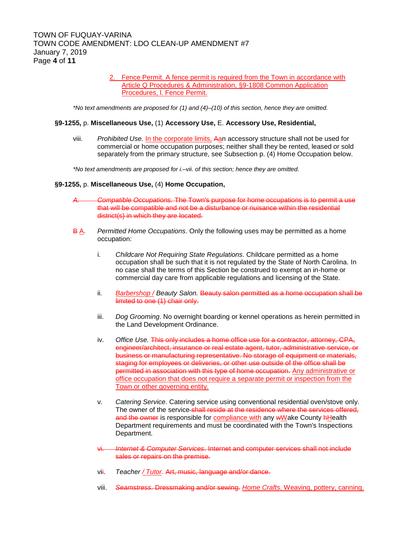2. Fence Permit. A fence permit is required from the Town in accordance with Article Q Procedures & Administration, §9-1808 Common Application Procedures, l. Fence Permit.

*\*No text amendments are proposed for (1) and (4)–(10) of this section, hence they are omitted.*

#### **§9-1255,** p. **Miscellaneous Use,** (1) **Accessory Use,** E. **Accessory Use, Residential,**

viii. *Prohibited Use.* In the corporate limits, Aan accessory structure shall not be used for commercial or home occupation purposes; neither shall they be rented, leased or sold separately from the primary structure, see Subsection p. (4) Home Occupation below.

*\*No text amendments are proposed for i.–vii. of this section; hence they are omitted.*

#### **§9-1255,** p. **Miscellaneous Use,** (4) **Home Occupation,**

*A. Compatible Occupations.* The Town's purpose for home occupations is to permit a use that will be compatible and not be a disturbance or nuisance within the residential district(s) in which they are located.

- B A. *Permitted Home Occupations*. Only the following uses may be permitted as a home occupation:
	- i. *Childcare Not Requiring State Regulations*. Childcare permitted as a home occupation shall be such that it is not regulated by the State of North Carolina. In no case shall the terms of this Section be construed to exempt an in-home or commercial day care from applicable regulations and licensing of the State.
	- ii. *Barbershop / Beauty Salon.* Beauty salon permitted as a home occupation shall be limited to one (1) chair only.
	- iii. *Dog Grooming*. No overnight boarding or kennel operations as herein permitted in the Land Development Ordinance.
	- iv. *Office Use.* This only includes a home office use for a contractor, attorney, CPA, engineer/architect, insurance or real estate agent, tutor, administrative service, or business or manufacturing representative. No storage of equipment or materials, staging for employees or deliveries, or other use outside of the office shall be permitted in association with this type of home occupation. Any administrative or office occupation that does not require a separate permit or inspection from the Town or other governing entity.
	- v. *Catering Service*. Catering service using conventional residential oven/stove only. The owner of the service-shall reside at the residence where the services offered, and the owner is responsible for compliance with any wWake County **hHealth** Department requirements and must be coordinated with the Town's Inspections Department.
	- vi. *Internet & Computer Services*. Internet and computer services shall not include sales or repairs on the premise.
	- vii. *Teacher / Tutor*. Art, music, language and/or dance.
	- viii. *Seamstress*. Dressmaking and/or sewing. *Home Crafts.* Weaving, pottery, canning.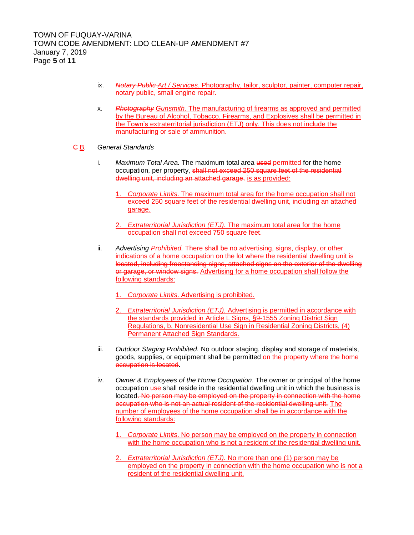- ix. *Notary Public Art / Services.* Photography, tailor, sculptor, painter, computer repair, notary public, small engine repair.
- x. *Photography Gunsmith.* The manufacturing of firearms as approved and permitted by the Bureau of Alcohol, Tobacco, Firearms, and Explosives shall be permitted in the Town's extraterritorial jurisdiction (ETJ) only. This does not include the manufacturing or sale of ammunition.
- C B*. General Standards*
	- i. *Maximum Total Area.* The maximum total area used permitted for the home occupation, per property, shall not exceed 250 square feet of the residential dwelling unit, including an attached garage. is as provided:
		- 1. *Corporate Limits*. The maximum total area for the home occupation shall not exceed 250 square feet of the residential dwelling unit, including an attached garage.
		- 2. *Extraterritorial Jurisdiction (ETJ).* The maximum total area for the home occupation shall not exceed 750 square feet.
	- ii. *Advertising Prohibited.* There shall be no advertising, signs, display, or other indications of a home occupation on the lot where the residential dwelling unit is located, including freestanding signs, attached signs on the exterior of the dwelling or garage, or window signs. Advertising for a home occupation shall follow the following standards:
		- 1. *Corporate Limits*. Advertising is prohibited.
		- 2. *Extraterritorial Jurisdiction (ETJ).* Advertising is permitted in accordance with the standards provided in Article L Signs, §9-1555 Zoning District Sign Regulations, b. Nonresidential Use Sign in Residential Zoning Districts, (4) Permanent Attached Sign Standards.
	- iii. *Outdoor Staging Prohibited.* No outdoor staging, display and storage of materials, goods, supplies, or equipment shall be permitted on the property where the home occupation is located.
	- iv. *Owner & Employees of the Home Occupation*. The owner or principal of the home occupation use shall reside in the residential dwelling unit in which the business is located. No person may be employed on the property in connection with the home occupation who is not an actual resident of the residential dwelling unit. The number of employees of the home occupation shall be in accordance with the following standards:
		- 1. *Corporate Limits*. No person may be employed on the property in connection with the home occupation who is not a resident of the residential dwelling unit.
		- 2. *Extraterritorial Jurisdiction (ETJ).* No more than one (1) person may be employed on the property in connection with the home occupation who is not a resident of the residential dwelling unit.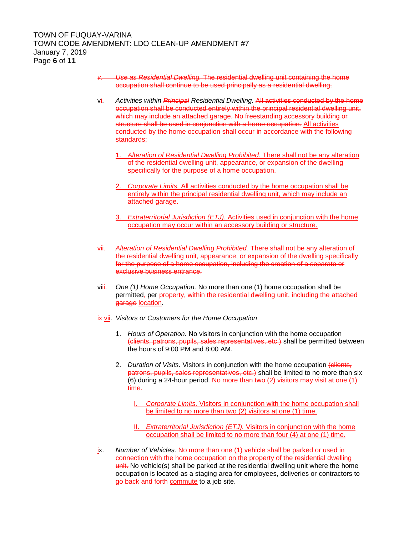- *v. Use as Residential Dwelling.* The residential dwelling unit containing the home occupation shall continue to be used principally as a residential dwelling.
- vi. *Activities within Principal Residential Dwelling.* All activities conducted by the home occupation shall be conducted entirely within the principal residential dwelling unit, which may include an attached garage. No freestanding accessory building or structure shall be used in conjunction with a home occupation. All activities conducted by the home occupation shall occur in accordance with the following standards:
	- 1. *Alteration of Residential Dwelling Prohibited.* There shall not be any alteration of the residential dwelling unit, appearance, or expansion of the dwelling specifically for the purpose of a home occupation.
	- 2. *Corporate Limits.* All activities conducted by the home occupation shall be entirely within the principal residential dwelling unit, which may include an attached garage.
	- 3. *Extraterritorial Jurisdiction (ETJ).* Activities used in conjunction with the home occupation may occur within an accessory building or structure.
- vii. *Alteration of Residential Dwelling Prohibited.* There shall not be any alteration of the residential dwelling unit, appearance, or expansion of the dwelling specifically for the purpose of a home occupation, including the creation of a separate or exclusive business entrance.
- viii. *One (1) Home Occupation.* No more than one (1) home occupation shall be permitted, per-property, within the residential dwelling unit, including the attached garage location.
- ix vii. *Visitors or Customers for the Home Occupation*
	- 1. *Hours of Operation.* No visitors in conjunction with the home occupation (clients, patrons, pupils, sales representatives, etc.) shall be permitted between the hours of 9:00 PM and 8:00 AM.
	- 2. *Duration of Visits.* Visitors in conjunction with the home occupation (clients, patrons, pupils, sales representatives, etc.) shall be limited to no more than six (6) during a 24-hour period. No more than two  $(2)$  visitors may visit at one  $(1)$ time.
		- I. *Corporate Limits.* Visitors in conjunction with the home occupation shall be limited to no more than two (2) visitors at one (1) time.
		- II. *Extraterritorial Jurisdiction (ETJ).* Visitors in conjunction with the home occupation shall be limited to no more than four (4) at one (1) time.
- ix. *Number of Vehicles.* No more than one (1) vehicle shall be parked or used in connection with the home occupation on the property of the residential dwelling unit. No vehicle(s) shall be parked at the residential dwelling unit where the home occupation is located as a staging area for employees, deliveries or contractors to go back and forth commute to a job site.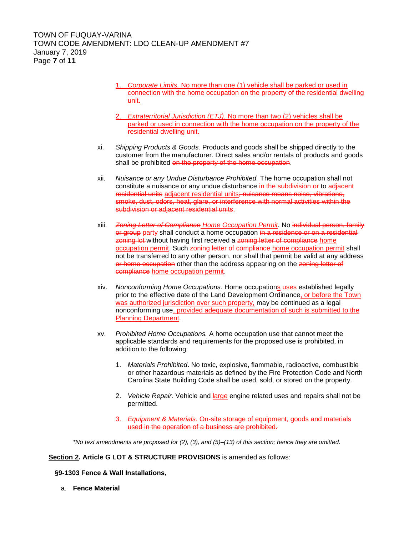- 1. *Corporate Limits.* No more than one (1) vehicle shall be parked or used in connection with the home occupation on the property of the residential dwelling unit.
- 2. *Extraterritorial Jurisdiction (ETJ).* No more than two (2) vehicles shall be parked or used in connection with the home occupation on the property of the residential dwelling unit.
- xi. *Shipping Products & Goods.* Products and goods shall be shipped directly to the customer from the manufacturer. Direct sales and/or rentals of products and goods shall be prohibited on the property of the home occupation.
- xii. *Nuisance or any Undue Disturbance Prohibited.* The home occupation shall not constitute a nuisance or any undue disturbance in the subdivision or to adjacent residential units adjacent residential units; nuisance means noise, vibrations, smoke, dust, odors, heat, glare, or interference with normal activities within the subdivision or adjacent residential units.
- xiii. *Zoning Letter of Compliance Home Occupation Permit.* No individual person, family or group party shall conduct a home occupation in a residence or on a residential zoning lot without having first received a zoning letter of compliance home occupation permit. Such zoning letter of compliance home occupation permit shall not be transferred to any other person, nor shall that permit be valid at any address or home occupation other than the address appearing on the zoning letter of compliance home occupation permit.
- xiv. *Nonconforming Home Occupations*. Home occupations uses established legally prior to the effective date of the Land Development Ordinance, or before the Town was authorized jurisdiction over such property, may be continued as a legal nonconforming use, provided adequate documentation of such is submitted to the Planning Department.
- xv. *Prohibited Home Occupations.* A home occupation use that cannot meet the applicable standards and requirements for the proposed use is prohibited, in addition to the following:
	- 1. *Materials Prohibited*. No toxic, explosive, flammable, radioactive, combustible or other hazardous materials as defined by the Fire Protection Code and North Carolina State Building Code shall be used, sold, or stored on the property.
	- 2. *Vehicle Repair.* Vehicle and large engine related uses and repairs shall not be permitted.
	- 3. *Equipment & Materials.* On-site storage of equipment, goods and materials used in the operation of a business are prohibited.

*\*No text amendments are proposed for (2), (3), and (5)–(13) of this section; hence they are omitted.*

#### **Section 2. Article G LOT & STRUCTURE PROVISIONS** is amended as follows:

**§9-1303 Fence & Wall Installations,**

a. **Fence Material**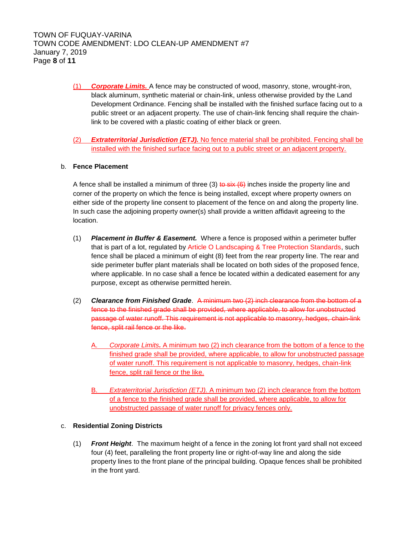- (1) *Corporate Limits.* A fence may be constructed of wood, masonry, stone, wrought-iron, black aluminum, synthetic material or chain-link, unless otherwise provided by the Land Development Ordinance. Fencing shall be installed with the finished surface facing out to a public street or an adjacent property. The use of chain-link fencing shall require the chainlink to be covered with a plastic coating of either black or green.
- (2) *Extraterritorial Jurisdiction (ETJ).* No fence material shall be prohibited. Fencing shall be installed with the finished surface facing out to a public street or an adjacent property.

## b. **Fence Placement**

A fence shall be installed a minimum of three  $(3)$  to  $s$ ix  $(6)$  inches inside the property line and corner of the property on which the fence is being installed, except where property owners on either side of the property line consent to placement of the fence on and along the property line. In such case the adjoining property owner(s) shall provide a written affidavit agreeing to the location.

- (1) *Placement in Buffer & Easement.* Where a fence is proposed within a perimeter buffer that is part of a lot, regulated by Article O Landscaping & Tree Protection Standards, such fence shall be placed a minimum of eight (8) feet from the rear property line. The rear and side perimeter buffer plant materials shall be located on both sides of the proposed fence, where applicable. In no case shall a fence be located within a dedicated easement for any purpose, except as otherwise permitted herein.
- (2) *Clearance from Finished Grade*. A minimum two (2) inch clearance from the bottom of a fence to the finished grade shall be provided, where applicable, to allow for unobstructed passage of water runoff. This requirement is not applicable to masonry, hedges, chain-link fence, split rail fence or the like.
	- A. *Corporate Limits.* A minimum two (2) inch clearance from the bottom of a fence to the finished grade shall be provided, where applicable, to allow for unobstructed passage of water runoff. This requirement is not applicable to masonry, hedges, chain-link fence, split rail fence or the like.
	- B. *Extraterritorial Jurisdiction (ETJ).* A minimum two (2) inch clearance from the bottom of a fence to the finished grade shall be provided, where applicable, to allow for unobstructed passage of water runoff for privacy fences only.

## c. **Residential Zoning Districts**

(1) *Front Height*. The maximum height of a fence in the zoning lot front yard shall not exceed four (4) feet, paralleling the front property line or right-of-way line and along the side property lines to the front plane of the principal building. Opaque fences shall be prohibited in the front yard.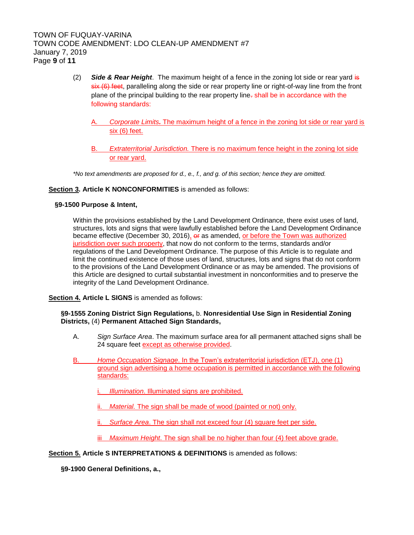- (2) *Side & Rear Height*. The maximum height of a fence in the zoning lot side or rear yard is  $s$ ix (6) feet, paralleling along the side or rear property line or right-of-way line from the front plane of the principal building to the rear property line. shall be in accordance with the following standards:
	- A. *Corporate Limits.* The maximum height of a fence in the zoning lot side or rear yard is six (6) feet.
	- B. *Extraterritorial Jurisdiction.* There is no maximum fence height in the zoning lot side or rear yard.

*\*No text amendments are proposed for d., e., f., and g. of this section; hence they are omitted.*

### **Section 3. Article K NONCONFORMITIES** is amended as follows:

### **§9-1500 Purpose & Intent,**

Within the provisions established by the Land Development Ordinance, there exist uses of land, structures, lots and signs that were lawfully established before the Land Development Ordinance became effective (December 30, 2016), or as amended, or before the Town was authorized jurisdiction over such property, that now do not conform to the terms, standards and/or regulations of the Land Development Ordinance. The purpose of this Article is to regulate and limit the continued existence of those uses of land, structures, lots and signs that do not conform to the provisions of the Land Development Ordinance or as may be amended. The provisions of this Article are designed to curtail substantial investment in nonconformities and to preserve the integrity of the Land Development Ordinance.

**Section 4. Article L SIGNS** is amended as follows:

### **§9-1555 Zoning District Sign Regulations,** b. **Nonresidential Use Sign in Residential Zoning Districts,** (4) **Permanent Attached Sign Standards,**

- A. *Sign Surface Area*. The maximum surface area for all permanent attached signs shall be 24 square feet except as otherwise provided.
- B. *Home Occupation Signage*. In the Town's extraterritorial jurisdiction (ETJ), one (1) ground sign advertising a home occupation is permitted in accordance with the following standards:
	- **Illumination. Illuminated signs are prohibited.**
	- ii. *Material.* The sign shall be made of wood (painted or not) only.
	- ii. *Surface Area*. The sign shall not exceed four (4) square feet per side.
	- iii *Maximum Height*. The sign shall be no higher than four (4) feet above grade.

#### **Section 5. Article S INTERPRETATIONS & DEFINITIONS** is amended as follows:

**§9-1900 General Definitions, a.,**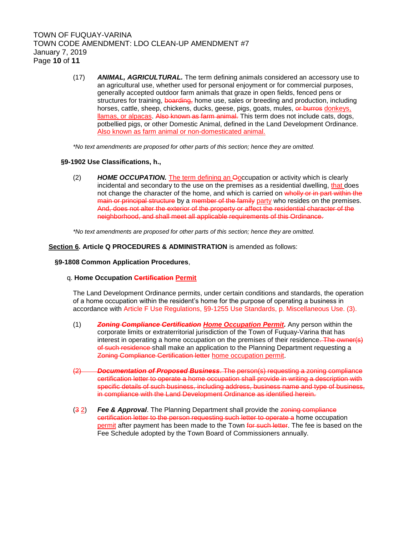# TOWN OF FUQUAY-VARINA TOWN CODE AMENDMENT: LDO CLEAN-UP AMENDMENT #7 January 7, 2019 Page **10** of **11**

(17) *ANIMAL, AGRICULTURAL.* The term defining animals considered an accessory use to an agricultural use, whether used for personal enjoyment or for commercial purposes, generally accepted outdoor farm animals that graze in open fields, fenced pens or structures for training, boarding, home use, sales or breeding and production, including horses, cattle, sheep, chickens, ducks, geese, pigs, goats, mules, or burros donkeys, llamas, or alpacas. Also known as farm animal. This term does not include cats, dogs, potbellied pigs, or other Domestic Animal, defined in the Land Development Ordinance. Also known as farm animal or non-domesticated animal.

*\*No text amendments are proposed for other parts of this section; hence they are omitted.*

#### **§9-1902 Use Classifications, h.,**

(2) *HOME OCCUPATION.* The term defining an Ooccupation or activity which is clearly incidental and secondary to the use on the premises as a residential dwelling, that does not change the character of the home, and which is carried on wholly or in part within the main or principal structure by a member of the family party who resides on the premises. And, does not alter the exterior of the property or affect the residential character of the neighborhood, and shall meet all applicable requirements of this Ordinance.

*\*No text amendments are proposed for other parts of this section; hence they are omitted.*

#### **Section 6. Article Q PROCEDURES & ADMINISTRATION** is amended as follows:

#### **§9-1808 Common Application Procedures**,

#### q. **Home Occupation Certification Permit**

The Land Development Ordinance permits, under certain conditions and standards, the operation of a home occupation within the resident's home for the purpose of operating a business in accordance with Article F Use Regulations, §9-1255 Use Standards, p. Miscellaneous Use. (3).

- (1) *Zoning Compliance Certification Home Occupation Permit.* Any person within the corporate limits or extraterritorial jurisdiction of the Town of Fuquay-Varina that has interest in operating a home occupation on the premises of their residence. The owner(s) of such residence shall make an application to the Planning Department requesting a Zoning Compliance Certification letter home occupation permit.
- (2) *Documentation of Proposed Business*. The person(s) requesting a zoning compliance certification letter to operate a home occupation shall provide in writing a description with specific details of such business, including address, business name and type of business, in compliance with the Land Development Ordinance as identified herein.
- (3 2) *Fee & Approval*. The Planning Department shall provide the zoning compliance certification letter to the person requesting such letter to operate a home occupation permit after payment has been made to the Town for such letter. The fee is based on the Fee Schedule adopted by the Town Board of Commissioners annually.